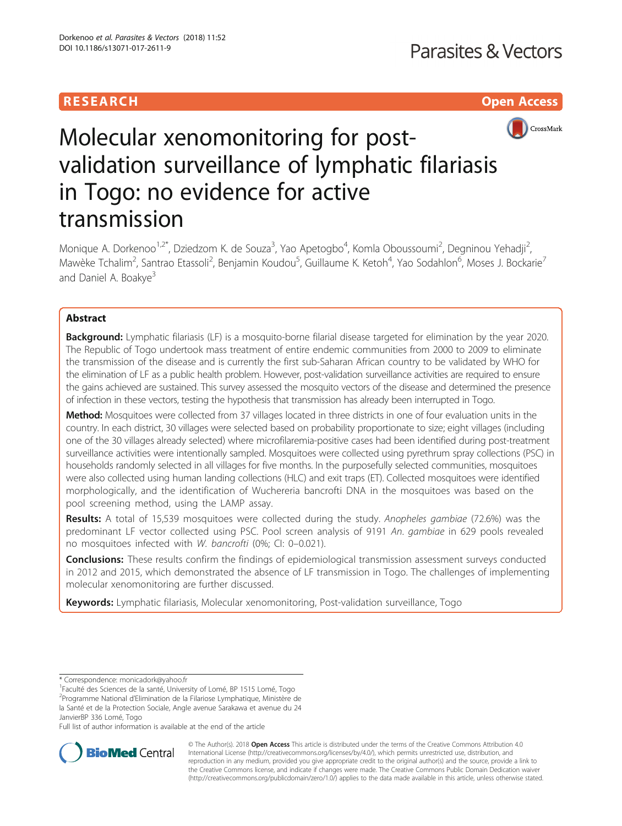# **RESEARCH CHILD CONTROL** CONTROL CONTROL CONTROL CONTROL CONTROL CONTROL CONTROL CONTROL CONTROL CONTROL CONTROL



# Molecular xenomonitoring for postvalidation surveillance of lymphatic filariasis in Togo: no evidence for active transmission

Monique A. Dorkenoo<sup>1,2\*</sup>, Dziedzom K. de Souza<sup>3</sup>, Yao Apetogbo<sup>4</sup>, Komla Oboussoumi<sup>2</sup>, Degninou Yehadji<sup>2</sup> .<br>, Mawèke Tchalim<sup>2</sup>, Santrao Etassoli<sup>2</sup>, Benjamin Koudou<sup>5</sup>, Guillaume K. Ketoh<sup>4</sup>, Yao Sodahlon<sup>6</sup>, Moses J. Bockarie<sup>7</sup> and Daniel A. Boakye<sup>3</sup>

# Abstract

**Background:** Lymphatic filariasis (LF) is a mosquito-borne filarial disease targeted for elimination by the year 2020. The Republic of Togo undertook mass treatment of entire endemic communities from 2000 to 2009 to eliminate the transmission of the disease and is currently the first sub-Saharan African country to be validated by WHO for the elimination of LF as a public health problem. However, post-validation surveillance activities are required to ensure the gains achieved are sustained. This survey assessed the mosquito vectors of the disease and determined the presence of infection in these vectors, testing the hypothesis that transmission has already been interrupted in Togo.

Method: Mosquitoes were collected from 37 villages located in three districts in one of four evaluation units in the country. In each district, 30 villages were selected based on probability proportionate to size; eight villages (including one of the 30 villages already selected) where microfilaremia-positive cases had been identified during post-treatment surveillance activities were intentionally sampled. Mosquitoes were collected using pyrethrum spray collections (PSC) in households randomly selected in all villages for five months. In the purposefully selected communities, mosquitoes were also collected using human landing collections (HLC) and exit traps (ET). Collected mosquitoes were identified morphologically, and the identification of Wuchereria bancrofti DNA in the mosquitoes was based on the pool screening method, using the LAMP assay.

Results: A total of 15,539 mosquitoes were collected during the study. Anopheles gambiae (72.6%) was the predominant LF vector collected using PSC. Pool screen analysis of 9191 An. gambiae in 629 pools revealed no mosquitoes infected with W. bancrofti (0%; CI: 0–0.021).

**Conclusions:** These results confirm the findings of epidemiological transmission assessment surveys conducted in 2012 and 2015, which demonstrated the absence of LF transmission in Togo. The challenges of implementing molecular xenomonitoring are further discussed.

Keywords: Lymphatic filariasis, Molecular xenomonitoring, Post-validation surveillance, Togo

Full list of author information is available at the end of the article



© The Author(s). 2018 Open Access This article is distributed under the terms of the Creative Commons Attribution 4.0 International License [\(http://creativecommons.org/licenses/by/4.0/](http://creativecommons.org/licenses/by/4.0/)), which permits unrestricted use, distribution, and reproduction in any medium, provided you give appropriate credit to the original author(s) and the source, provide a link to the Creative Commons license, and indicate if changes were made. The Creative Commons Public Domain Dedication waiver [\(http://creativecommons.org/publicdomain/zero/1.0/](http://creativecommons.org/publicdomain/zero/1.0/)) applies to the data made available in this article, unless otherwise stated.

<sup>\*</sup> Correspondence: [monicadork@yahoo.fr](mailto:monicadork@yahoo.fr) <sup>1</sup>

<sup>&</sup>lt;sup>1</sup>Faculté des Sciences de la santé, University of Lomé, BP 1515 Lomé, Togo

<sup>&</sup>lt;sup>2</sup>Programme National d'Elimination de la Filariose Lymphatique, Ministère de la Santé et de la Protection Sociale, Angle avenue Sarakawa et avenue du 24

JanvierBP 336 Lomé, Togo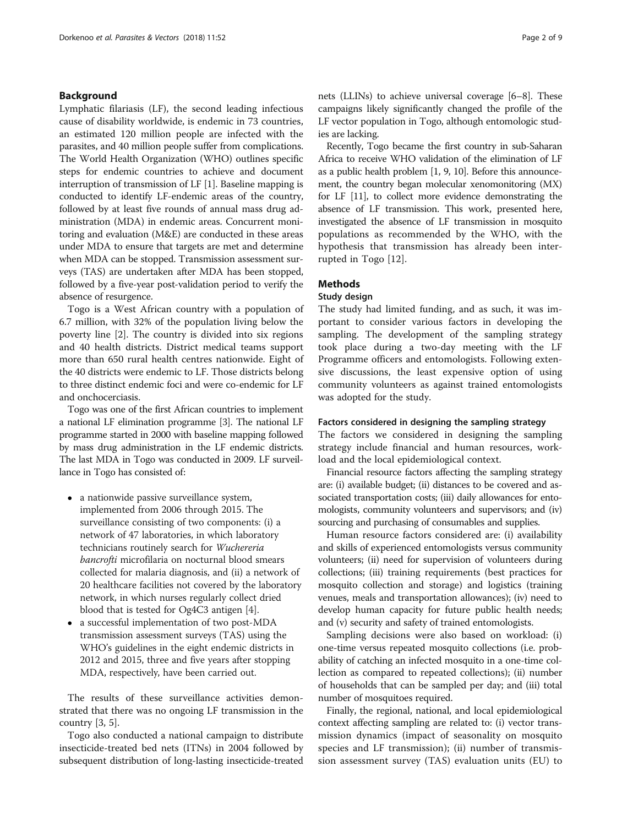# Background

Lymphatic filariasis (LF), the second leading infectious cause of disability worldwide, is endemic in 73 countries, an estimated 120 million people are infected with the parasites, and 40 million people suffer from complications. The World Health Organization (WHO) outlines specific steps for endemic countries to achieve and document interruption of transmission of LF [\[1](#page-7-0)]. Baseline mapping is conducted to identify LF-endemic areas of the country, followed by at least five rounds of annual mass drug administration (MDA) in endemic areas. Concurrent monitoring and evaluation (M&E) are conducted in these areas under MDA to ensure that targets are met and determine when MDA can be stopped. Transmission assessment surveys (TAS) are undertaken after MDA has been stopped, followed by a five-year post-validation period to verify the absence of resurgence.

Togo is a West African country with a population of 6.7 million, with 32% of the population living below the poverty line [[2\]](#page-7-0). The country is divided into six regions and 40 health districts. District medical teams support more than 650 rural health centres nationwide. Eight of the 40 districts were endemic to LF. Those districts belong to three distinct endemic foci and were co-endemic for LF and onchocerciasis.

Togo was one of the first African countries to implement a national LF elimination programme [\[3\]](#page-7-0). The national LF programme started in 2000 with baseline mapping followed by mass drug administration in the LF endemic districts. The last MDA in Togo was conducted in 2009. LF surveillance in Togo has consisted of:

- a nationwide passive surveillance system, implemented from 2006 through 2015. The surveillance consisting of two components: (i) a network of 47 laboratories, in which laboratory technicians routinely search for Wuchereria bancrofti microfilaria on nocturnal blood smears collected for malaria diagnosis, and (ii) a network of 20 healthcare facilities not covered by the laboratory network, in which nurses regularly collect dried blood that is tested for Og4C3 antigen [\[4\]](#page-7-0).
- a successful implementation of two post-MDA transmission assessment surveys (TAS) using the WHO's guidelines in the eight endemic districts in 2012 and 2015, three and five years after stopping MDA, respectively, have been carried out.

The results of these surveillance activities demonstrated that there was no ongoing LF transmission in the country [\[3](#page-7-0), [5](#page-7-0)].

Togo also conducted a national campaign to distribute insecticide-treated bed nets (ITNs) in 2004 followed by subsequent distribution of long-lasting insecticide-treated nets (LLINs) to achieve universal coverage [[6](#page-7-0)–[8](#page-7-0)]. These campaigns likely significantly changed the profile of the LF vector population in Togo, although entomologic studies are lacking.

Recently, Togo became the first country in sub-Saharan Africa to receive WHO validation of the elimination of LF as a public health problem [\[1, 9, 10\]](#page-7-0). Before this announcement, the country began molecular xenomonitoring (MX) for LF [[11](#page-7-0)], to collect more evidence demonstrating the absence of LF transmission. This work, presented here, investigated the absence of LF transmission in mosquito populations as recommended by the WHO, with the hypothesis that transmission has already been interrupted in Togo [\[12](#page-7-0)].

# **Methods**

# Study design

The study had limited funding, and as such, it was important to consider various factors in developing the sampling. The development of the sampling strategy took place during a two-day meeting with the LF Programme officers and entomologists. Following extensive discussions, the least expensive option of using community volunteers as against trained entomologists was adopted for the study.

# Factors considered in designing the sampling strategy

The factors we considered in designing the sampling strategy include financial and human resources, workload and the local epidemiological context.

Financial resource factors affecting the sampling strategy are: (i) available budget; (ii) distances to be covered and associated transportation costs; (iii) daily allowances for entomologists, community volunteers and supervisors; and (iv) sourcing and purchasing of consumables and supplies.

Human resource factors considered are: (i) availability and skills of experienced entomologists versus community volunteers; (ii) need for supervision of volunteers during collections; (iii) training requirements (best practices for mosquito collection and storage) and logistics (training venues, meals and transportation allowances); (iv) need to develop human capacity for future public health needs; and (v) security and safety of trained entomologists.

Sampling decisions were also based on workload: (i) one-time versus repeated mosquito collections (i.e. probability of catching an infected mosquito in a one-time collection as compared to repeated collections); (ii) number of households that can be sampled per day; and (iii) total number of mosquitoes required.

Finally, the regional, national, and local epidemiological context affecting sampling are related to: (i) vector transmission dynamics (impact of seasonality on mosquito species and LF transmission); (ii) number of transmission assessment survey (TAS) evaluation units (EU) to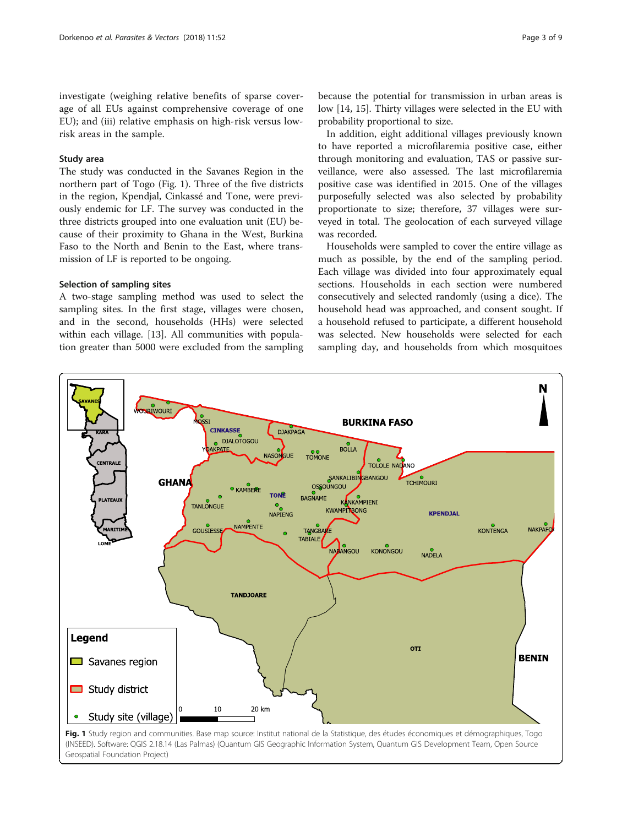investigate (weighing relative benefits of sparse coverage of all EUs against comprehensive coverage of one EU); and (iii) relative emphasis on high-risk versus lowrisk areas in the sample.

# Study area

The study was conducted in the Savanes Region in the northern part of Togo (Fig. 1). Three of the five districts in the region, Kpendjal, Cinkassé and Tone, were previously endemic for LF. The survey was conducted in the three districts grouped into one evaluation unit (EU) because of their proximity to Ghana in the West, Burkina Faso to the North and Benin to the East, where transmission of LF is reported to be ongoing.

# Selection of sampling sites

A two-stage sampling method was used to select the sampling sites. In the first stage, villages were chosen, and in the second, households (HHs) were selected within each village. [\[13](#page-7-0)]. All communities with population greater than 5000 were excluded from the sampling

because the potential for transmission in urban areas is low [\[14](#page-7-0), [15](#page-7-0)]. Thirty villages were selected in the EU with probability proportional to size.

In addition, eight additional villages previously known to have reported a microfilaremia positive case, either through monitoring and evaluation, TAS or passive surveillance, were also assessed. The last microfilaremia positive case was identified in 2015. One of the villages purposefully selected was also selected by probability proportionate to size; therefore, 37 villages were surveyed in total. The geolocation of each surveyed village was recorded.

Households were sampled to cover the entire village as much as possible, by the end of the sampling period. Each village was divided into four approximately equal sections. Households in each section were numbered consecutively and selected randomly (using a dice). The household head was approached, and consent sought. If a household refused to participate, a different household was selected. New households were selected for each sampling day, and households from which mosquitoes

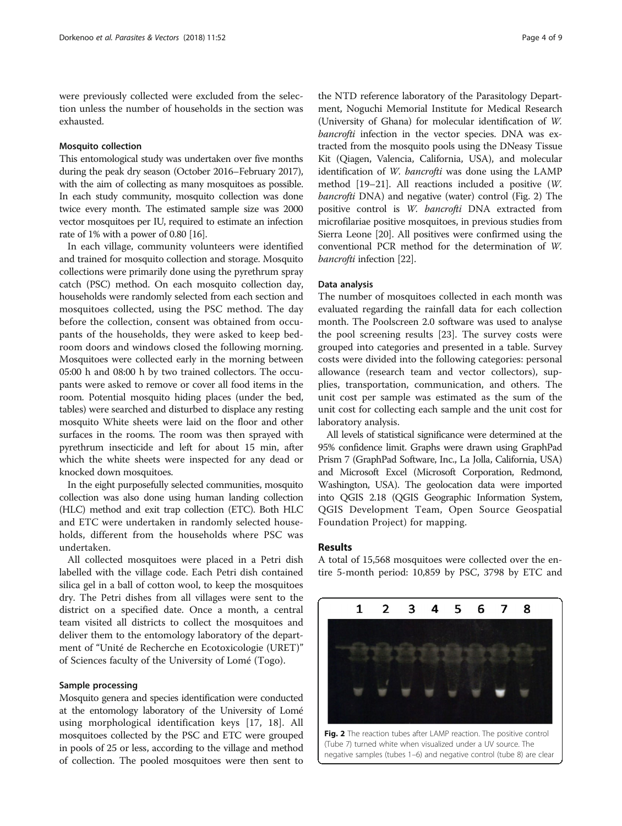were previously collected were excluded from the selection unless the number of households in the section was exhausted.

# Mosquito collection

This entomological study was undertaken over five months during the peak dry season (October 2016–February 2017), with the aim of collecting as many mosquitoes as possible. In each study community, mosquito collection was done twice every month. The estimated sample size was 2000 vector mosquitoes per IU, required to estimate an infection rate of 1% with a power of 0.80 [\[16](#page-7-0)].

In each village, community volunteers were identified and trained for mosquito collection and storage. Mosquito collections were primarily done using the pyrethrum spray catch (PSC) method. On each mosquito collection day, households were randomly selected from each section and mosquitoes collected, using the PSC method. The day before the collection, consent was obtained from occupants of the households, they were asked to keep bedroom doors and windows closed the following morning. Mosquitoes were collected early in the morning between 05:00 h and 08:00 h by two trained collectors. The occupants were asked to remove or cover all food items in the room. Potential mosquito hiding places (under the bed, tables) were searched and disturbed to displace any resting mosquito White sheets were laid on the floor and other surfaces in the rooms. The room was then sprayed with pyrethrum insecticide and left for about 15 min, after which the white sheets were inspected for any dead or knocked down mosquitoes.

In the eight purposefully selected communities, mosquito collection was also done using human landing collection (HLC) method and exit trap collection (ETC). Both HLC and ETC were undertaken in randomly selected households, different from the households where PSC was undertaken.

All collected mosquitoes were placed in a Petri dish labelled with the village code. Each Petri dish contained silica gel in a ball of cotton wool, to keep the mosquitoes dry. The Petri dishes from all villages were sent to the district on a specified date. Once a month, a central team visited all districts to collect the mosquitoes and deliver them to the entomology laboratory of the department of "Unité de Recherche en Ecotoxicologie (URET)" of Sciences faculty of the University of Lomé (Togo).

#### Sample processing

Mosquito genera and species identification were conducted at the entomology laboratory of the University of Lomé using morphological identification keys [[17, 18\]](#page-7-0). All mosquitoes collected by the PSC and ETC were grouped in pools of 25 or less, according to the village and method of collection. The pooled mosquitoes were then sent to

the NTD reference laboratory of the Parasitology Department, Noguchi Memorial Institute for Medical Research (University of Ghana) for molecular identification of W. bancrofti infection in the vector species. DNA was extracted from the mosquito pools using the DNeasy Tissue Kit (Qiagen, Valencia, California, USA), and molecular identification of W. bancrofti was done using the LAMP method [\[19](#page-7-0)–[21](#page-7-0)]. All reactions included a positive (W. bancrofti DNA) and negative (water) control (Fig. 2) The positive control is W. bancrofti DNA extracted from microfilariae positive mosquitoes, in previous studies from Sierra Leone [\[20](#page-7-0)]. All positives were confirmed using the conventional PCR method for the determination of W. bancrofti infection [[22](#page-7-0)].

#### Data analysis

The number of mosquitoes collected in each month was evaluated regarding the rainfall data for each collection month. The Poolscreen 2.0 software was used to analyse the pool screening results [[23\]](#page-7-0). The survey costs were grouped into categories and presented in a table. Survey costs were divided into the following categories: personal allowance (research team and vector collectors), supplies, transportation, communication, and others. The unit cost per sample was estimated as the sum of the unit cost for collecting each sample and the unit cost for laboratory analysis.

All levels of statistical significance were determined at the 95% confidence limit. Graphs were drawn using GraphPad Prism 7 (GraphPad Software, Inc., La Jolla, California, USA) and Microsoft Excel (Microsoft Corporation, Redmond, Washington, USA). The geolocation data were imported into QGIS 2.18 (QGIS Geographic Information System, QGIS Development Team, Open Source Geospatial Foundation Project) for mapping.

#### Results

A total of 15,568 mosquitoes were collected over the entire 5-month period: 10,859 by PSC, 3798 by ETC and

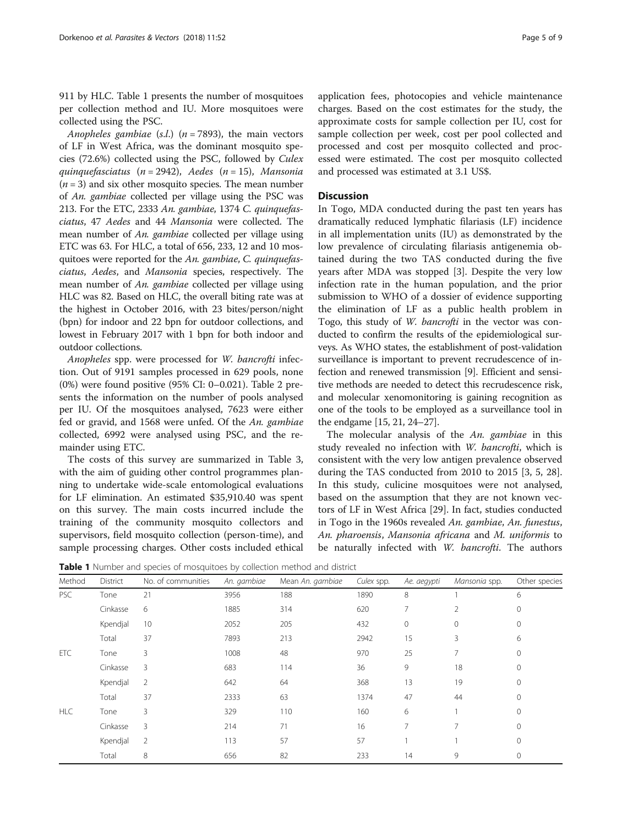911 by HLC. Table 1 presents the number of mosquitoes per collection method and IU. More mosquitoes were collected using the PSC.

Anopheles gambiae (s.l.) ( $n = 7893$ ), the main vectors of LF in West Africa, was the dominant mosquito species (72.6%) collected using the PSC, followed by Culex quinquefasciatus (n = 2942), Aedes (n = 15), Mansonia  $(n = 3)$  and six other mosquito species. The mean number of An. gambiae collected per village using the PSC was 213. For the ETC, 2333 An. gambiae, 1374 C. quinquefasciatus, 47 Aedes and 44 Mansonia were collected. The mean number of An. gambiae collected per village using ETC was 63. For HLC, a total of 656, 233, 12 and 10 mosquitoes were reported for the An. gambiae, C. quinquefasciatus, Aedes, and Mansonia species, respectively. The mean number of An. gambiae collected per village using HLC was 82. Based on HLC, the overall biting rate was at the highest in October 2016, with 23 bites/person/night (bpn) for indoor and 22 bpn for outdoor collections, and lowest in February 2017 with 1 bpn for both indoor and outdoor collections.

Anopheles spp. were processed for W. bancrofti infection. Out of 9191 samples processed in 629 pools, none (0%) were found positive (95% CI: 0–0.021). Table [2](#page-5-0) presents the information on the number of pools analysed per IU. Of the mosquitoes analysed, 7623 were either fed or gravid, and 1568 were unfed. Of the An. gambiae collected, 6992 were analysed using PSC, and the remainder using ETC.

The costs of this survey are summarized in Table [3](#page-5-0), with the aim of guiding other control programmes planning to undertake wide-scale entomological evaluations for LF elimination. An estimated \$35,910.40 was spent on this survey. The main costs incurred include the training of the community mosquito collectors and supervisors, field mosquito collection (person-time), and sample processing charges. Other costs included ethical application fees, photocopies and vehicle maintenance charges. Based on the cost estimates for the study, the approximate costs for sample collection per IU, cost for sample collection per week, cost per pool collected and processed and cost per mosquito collected and processed were estimated. The cost per mosquito collected and processed was estimated at 3.1 US\$.

# **Discussion**

In Togo, MDA conducted during the past ten years has dramatically reduced lymphatic filariasis (LF) incidence in all implementation units (IU) as demonstrated by the low prevalence of circulating filariasis antigenemia obtained during the two TAS conducted during the five years after MDA was stopped [\[3](#page-7-0)]. Despite the very low infection rate in the human population, and the prior submission to WHO of a dossier of evidence supporting the elimination of LF as a public health problem in Togo, this study of W. bancrofti in the vector was conducted to confirm the results of the epidemiological surveys. As WHO states, the establishment of post-validation surveillance is important to prevent recrudescence of infection and renewed transmission [[9\]](#page-7-0). Efficient and sensitive methods are needed to detect this recrudescence risk, and molecular xenomonitoring is gaining recognition as one of the tools to be employed as a surveillance tool in the endgame [[15](#page-7-0), [21, 24](#page-7-0)–[27\]](#page-7-0).

The molecular analysis of the An. gambiae in this study revealed no infection with W. bancrofti, which is consistent with the very low antigen prevalence observed during the TAS conducted from 2010 to 2015 [[3](#page-7-0), [5, 28](#page-7-0)]. In this study, culicine mosquitoes were not analysed, based on the assumption that they are not known vectors of LF in West Africa [[29](#page-7-0)]. In fact, studies conducted in Togo in the 1960s revealed An. gambiae, An. funestus, An. pharoensis, Mansonia africana and M. uniformis to be naturally infected with W. bancrofti. The authors

Table 1 Number and species of mosquitoes by collection method and district

| Method     | District | No. of communities | An. gambiae | Mean An. gambiae | Culex spp. | Ae. aegypti  | Mansonia spp. | Other species |
|------------|----------|--------------------|-------------|------------------|------------|--------------|---------------|---------------|
| <b>PSC</b> | Tone     | 21                 | 3956        | 188              | 1890       | 8            |               | 6             |
|            | Cinkasse | 6                  | 1885        | 314              | 620        | 7            | 2             | $\mathbf{0}$  |
|            | Kpendjal | 10                 | 2052        | 205              | 432        | $\mathbf{0}$ | $\circ$       | $\mathbf{0}$  |
|            | Total    | 37                 | 7893        | 213              | 2942       | 15           | 3             | 6             |
| <b>ETC</b> | Tone     | 3                  | 1008        | 48               | 970        | 25           | 7             | $\circ$       |
|            | Cinkasse | 3                  | 683         | 114              | 36         | 9            | 18            | $\mathbf{0}$  |
|            | Kpendjal | 2                  | 642         | 64               | 368        | 13           | 19            | $\mathbf 0$   |
|            | Total    | 37                 | 2333        | 63               | 1374       | 47           | 44            | $\mathbf{0}$  |
| <b>HLC</b> | Tone     | 3                  | 329         | 110              | 160        | 6            |               | $\mathbf{0}$  |
|            | Cinkasse | 3                  | 214         | 71               | 16         | 7            | 7             | $\mathbf{0}$  |
|            | Kpendjal | 2                  | 113         | 57               | 57         |              |               | $\mathbf{0}$  |
|            | Total    | 8                  | 656         | 82               | 233        | 14           | 9             | $\mathbf 0$   |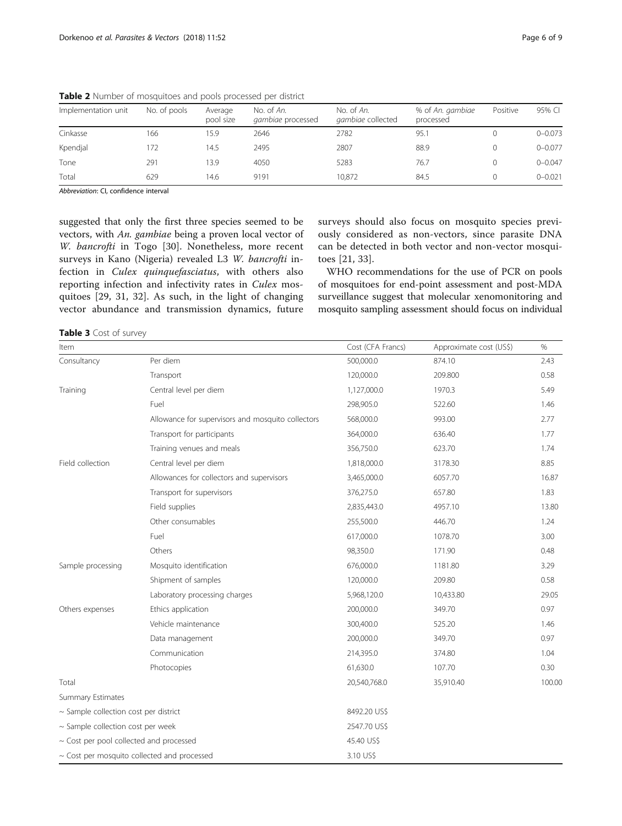| Implementation unit | No. of pools | Average<br>pool size | No. of An.<br>gambiae processed | No. of An.<br>gambiae collected | % of An. gambiae<br>processed | Positive | 95% CI      |
|---------------------|--------------|----------------------|---------------------------------|---------------------------------|-------------------------------|----------|-------------|
| Cinkasse            | 166          | 15.9                 | 2646                            | 2782                            | 95.1                          |          | $0 - 0.073$ |
| Kpendjal            | 172          | 14.5                 | 2495                            | 2807                            | 88.9                          |          | $0 - 0.077$ |
| Tone                | 291          | 13.9                 | 4050                            | 5283                            | 76.7                          |          | $0 - 0.047$ |
| Total               | 629          | 14.6                 | 9191                            | 10.872                          | 84.5                          |          | $0 - 0.021$ |

<span id="page-5-0"></span>Table 2 Number of mosquitoes and pools processed per district

Abbreviation: CI, confidence interval

suggested that only the first three species seemed to be vectors, with An. gambiae being a proven local vector of W. bancrofti in Togo [[30\]](#page-7-0). Nonetheless, more recent surveys in Kano (Nigeria) revealed L3 W. bancrofti infection in Culex quinquefasciatus, with others also reporting infection and infectivity rates in Culex mosquitoes [\[29](#page-7-0), [31, 32](#page-7-0)]. As such, in the light of changing vector abundance and transmission dynamics, future

surveys should also focus on mosquito species previously considered as non-vectors, since parasite DNA can be detected in both vector and non-vector mosquitoes [[21, 33\]](#page-7-0).

WHO recommendations for the use of PCR on pools of mosquitoes for end-point assessment and post-MDA surveillance suggest that molecular xenomonitoring and mosquito sampling assessment should focus on individual

Table 3 Cost of survey

| Item                                       |                                                   | Cost (CFA Francs) | Approximate cost (US\$) | $\%$   |  |  |
|--------------------------------------------|---------------------------------------------------|-------------------|-------------------------|--------|--|--|
| Consultancy                                | Per diem                                          | 500,000.0         | 874.10                  | 2.43   |  |  |
|                                            | Transport                                         | 120,000.0         | 209.800                 | 0.58   |  |  |
| Training                                   | Central level per diem                            | 1,127,000.0       | 1970.3                  | 5.49   |  |  |
|                                            | Fuel                                              | 298,905.0         | 522.60                  | 1.46   |  |  |
|                                            | Allowance for supervisors and mosquito collectors | 568,000.0         | 993.00                  | 2.77   |  |  |
|                                            | Transport for participants                        | 364,000.0         | 636.40                  | 1.77   |  |  |
|                                            | Training venues and meals                         | 356,750.0         | 623.70                  | 1.74   |  |  |
| Field collection                           | Central level per diem                            | 1,818,000.0       | 3178.30                 | 8.85   |  |  |
|                                            | Allowances for collectors and supervisors         | 3,465,000.0       | 6057.70                 | 16.87  |  |  |
|                                            | Transport for supervisors                         | 376,275.0         | 657.80                  | 1.83   |  |  |
|                                            | Field supplies                                    | 2,835,443.0       | 4957.10                 | 13.80  |  |  |
|                                            | Other consumables                                 | 255,500.0         | 446.70                  | 1.24   |  |  |
|                                            | Fuel                                              | 617,000.0         | 1078.70                 | 3.00   |  |  |
|                                            | Others                                            | 98,350.0          | 171.90                  | 0.48   |  |  |
| Sample processing                          | Mosquito identification                           | 676,000.0         | 1181.80                 | 3.29   |  |  |
|                                            | Shipment of samples                               | 120,000.0         | 209.80                  | 0.58   |  |  |
|                                            | Laboratory processing charges                     | 5,968,120.0       | 10,433.80               | 29.05  |  |  |
| Others expenses                            | Ethics application                                | 200,000.0         | 349.70                  | 0.97   |  |  |
|                                            | Vehicle maintenance                               | 300,400.0         | 525.20                  | 1.46   |  |  |
|                                            | Data management                                   | 200,000.0         | 349.70                  | 0.97   |  |  |
|                                            | Communication                                     | 214,395.0         | 374.80                  | 1.04   |  |  |
|                                            | Photocopies                                       | 61,630.0          | 107.70                  | 0.30   |  |  |
| Total                                      |                                                   | 20,540,768.0      | 35,910.40               | 100.00 |  |  |
| <b>Summary Estimates</b>                   |                                                   |                   |                         |        |  |  |
| $\sim$ Sample collection cost per district |                                                   | 8492.20 US\$      |                         |        |  |  |
| ~ Sample collection cost per week          |                                                   | 2547.70 US\$      |                         |        |  |  |
| ~ Cost per pool collected and processed    |                                                   | 45.40 US\$        |                         |        |  |  |
|                                            | $\sim$ Cost per mosquito collected and processed  | 3.10 US\$         |                         |        |  |  |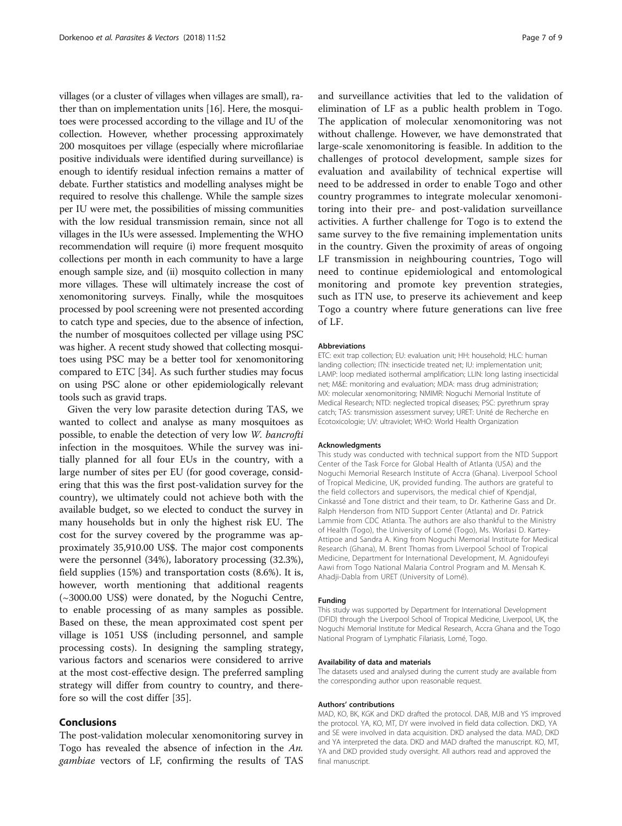villages (or a cluster of villages when villages are small), rather than on implementation units [[16](#page-7-0)]. Here, the mosquitoes were processed according to the village and IU of the collection. However, whether processing approximately 200 mosquitoes per village (especially where microfilariae positive individuals were identified during surveillance) is enough to identify residual infection remains a matter of debate. Further statistics and modelling analyses might be required to resolve this challenge. While the sample sizes per IU were met, the possibilities of missing communities with the low residual transmission remain, since not all villages in the IUs were assessed. Implementing the WHO recommendation will require (i) more frequent mosquito collections per month in each community to have a large enough sample size, and (ii) mosquito collection in many more villages. These will ultimately increase the cost of xenomonitoring surveys. Finally, while the mosquitoes processed by pool screening were not presented according to catch type and species, due to the absence of infection, the number of mosquitoes collected per village using PSC was higher. A recent study showed that collecting mosquitoes using PSC may be a better tool for xenomonitoring compared to ETC [\[34\]](#page-8-0). As such further studies may focus on using PSC alone or other epidemiologically relevant tools such as gravid traps.

Given the very low parasite detection during TAS, we wanted to collect and analyse as many mosquitoes as possible, to enable the detection of very low W. bancrofti infection in the mosquitoes. While the survey was initially planned for all four EUs in the country, with a large number of sites per EU (for good coverage, considering that this was the first post-validation survey for the country), we ultimately could not achieve both with the available budget, so we elected to conduct the survey in many households but in only the highest risk EU. The cost for the survey covered by the programme was approximately 35,910.00 US\$. The major cost components were the personnel (34%), laboratory processing (32.3%), field supplies (15%) and transportation costs (8.6%). It is, however, worth mentioning that additional reagents (~3000.00 US\$) were donated, by the Noguchi Centre, to enable processing of as many samples as possible. Based on these, the mean approximated cost spent per village is 1051 US\$ (including personnel, and sample processing costs). In designing the sampling strategy, various factors and scenarios were considered to arrive at the most cost-effective design. The preferred sampling strategy will differ from country to country, and therefore so will the cost differ [[35\]](#page-8-0).

# Conclusions

The post-validation molecular xenomonitoring survey in Togo has revealed the absence of infection in the An. gambiae vectors of LF, confirming the results of TAS

and surveillance activities that led to the validation of elimination of LF as a public health problem in Togo. The application of molecular xenomonitoring was not without challenge. However, we have demonstrated that large-scale xenomonitoring is feasible. In addition to the challenges of protocol development, sample sizes for evaluation and availability of technical expertise will need to be addressed in order to enable Togo and other country programmes to integrate molecular xenomonitoring into their pre- and post-validation surveillance activities. A further challenge for Togo is to extend the same survey to the five remaining implementation units in the country. Given the proximity of areas of ongoing LF transmission in neighbouring countries, Togo will need to continue epidemiological and entomological monitoring and promote key prevention strategies, such as ITN use, to preserve its achievement and keep Togo a country where future generations can live free of LF.

#### Abbreviations

ETC: exit trap collection; EU: evaluation unit; HH: household; HLC: human landing collection; ITN: insecticide treated net; IU: implementation unit; LAMP: loop mediated isothermal amplification; LLIN: long lasting insecticidal net; M&E: monitoring and evaluation; MDA: mass drug administration; MX: molecular xenomonitoring; NMIMR: Noguchi Memorial Institute of Medical Research; NTD: neglected tropical diseases; PSC: pyrethrum spray catch; TAS: transmission assessment survey; URET: Unité de Recherche en Ecotoxicologie; UV: ultraviolet; WHO: World Health Organization

#### Acknowledgments

This study was conducted with technical support from the NTD Support Center of the Task Force for Global Health of Atlanta (USA) and the Noguchi Memorial Research Institute of Accra (Ghana). Liverpool School of Tropical Medicine, UK, provided funding. The authors are grateful to the field collectors and supervisors, the medical chief of Kpendjal, Cinkassé and Tone district and their team, to Dr. Katherine Gass and Dr. Ralph Henderson from NTD Support Center (Atlanta) and Dr. Patrick Lammie from CDC Atlanta. The authors are also thankful to the Ministry of Health (Togo), the University of Lomé (Togo), Ms. Worlasi D. Kartey-Attipoe and Sandra A. King from Noguchi Memorial Institute for Medical Research (Ghana), M. Brent Thomas from Liverpool School of Tropical Medicine, Department for International Development, M. Agnidoufeyi Aawi from Togo National Malaria Control Program and M. Mensah K. Ahadji-Dabla from URET (University of Lomé).

#### Funding

This study was supported by Department for International Development (DFID) through the Liverpool School of Tropical Medicine, Liverpool, UK, the Noguchi Memorial Institute for Medical Research, Accra Ghana and the Togo National Program of Lymphatic Filariasis, Lomé, Togo.

#### Availability of data and materials

The datasets used and analysed during the current study are available from the corresponding author upon reasonable request.

#### Authors' contributions

MAD, KO, BK, KGK and DKD drafted the protocol. DAB, MJB and YS improved the protocol. YA, KO, MT, DY were involved in field data collection. DKD, YA and SE were involved in data acquisition. DKD analysed the data. MAD, DKD and YA interpreted the data. DKD and MAD drafted the manuscript. KO, MT, YA and DKD provided study oversight. All authors read and approved the final manuscript.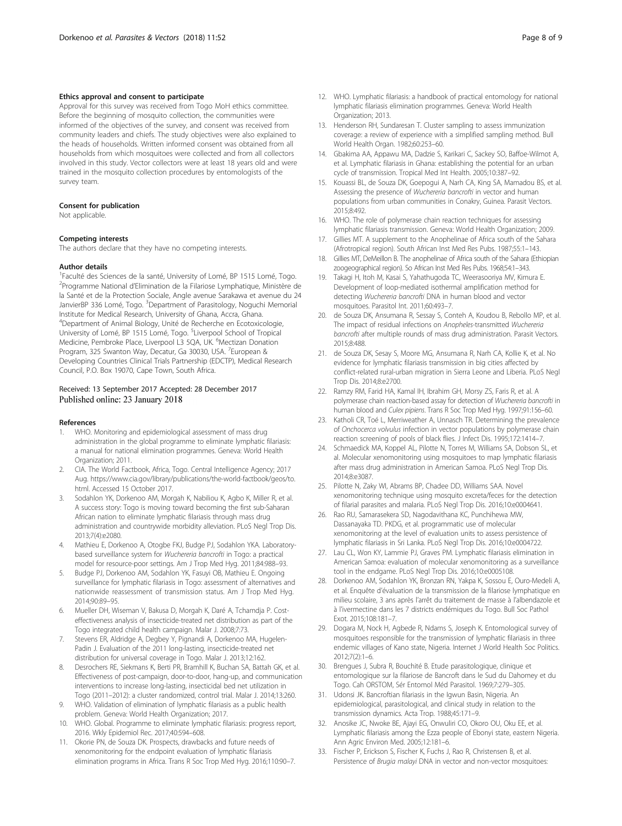#### <span id="page-7-0"></span>Ethics approval and consent to participate

Approval for this survey was received from Togo MoH ethics committee. Before the beginning of mosquito collection, the communities were informed of the objectives of the survey, and consent was received from community leaders and chiefs. The study objectives were also explained to the heads of households. Written informed consent was obtained from all households from which mosquitoes were collected and from all collectors involved in this study. Vector collectors were at least 18 years old and were trained in the mosquito collection procedures by entomologists of the survey team.

#### Consent for publication

Not applicable.

#### Competing interests

The authors declare that they have no competing interests.

#### Author details

<sup>1</sup>Faculté des Sciences de la santé, University of Lomé, BP 1515 Lomé, Togo. <sup>2</sup>Programme National d'Elimination de la Filariose Lymphatique, Ministère de la Santé et de la Protection Sociale, Angle avenue Sarakawa et avenue du 24 JanvierBP 336 Lomé, Togo. <sup>3</sup>Department of Parasitology, Noguchi Memorial Institute for Medical Research, University of Ghana, Accra, Ghana. 4 Department of Animal Biology, Unité de Recherche en Ecotoxicologie, University of Lomé, BP 1515 Lomé, Togo. <sup>5</sup>Liverpool School of Tropical Medicine, Pembroke Place, Liverpool L3 5QA, UK. <sup>6</sup>Mectizan Donation Program, 325 Swanton Way, Decatur, Ga 30030, USA. <sup>7</sup>European & Developing Countries Clinical Trials Partnership (EDCTP), Medical Research Council, P.O. Box 19070, Cape Town, South Africa.

# Received: 13 September 2017 Accepted: 28 December 2017

#### References

- 1. WHO. Monitoring and epidemiological assessment of mass drug administration in the global programme to eliminate lymphatic filariasis: a manual for national elimination programmes. Geneva: World Health Organization; 2011.
- 2. CIA. The World Factbook, Africa, Togo. Central Intelligence Agency; 2017 Aug. [https://www.cia.gov/library/publications/the-world-factbook/geos/to.](https://www.cia.gov/library/publications/the-world-factbook/geos/to.html) [html.](https://www.cia.gov/library/publications/the-world-factbook/geos/to.html) Accessed 15 October 2017.
- 3. Sodahlon YK, Dorkenoo AM, Morgah K, Nabiliou K, Agbo K, Miller R, et al. A success story: Togo is moving toward becoming the first sub-Saharan African nation to eliminate lymphatic filariasis through mass drug administration and countrywide morbidity alleviation. PLoS Negl Trop Dis. 2013;7(4):e2080.
- 4. Mathieu E, Dorkenoo A, Otogbe FKJ, Budge PJ, Sodahlon YKA. Laboratorybased surveillance system for *Wuchereria bancrofti* in Togo: a practical<br>model for resource-poor settings. Am J Trop Med Hyg. 2011;84:988–93.
- 5. Budge PJ, Dorkenoo AM, Sodahlon YK, Fasuyi OB, Mathieu E. Ongoing surveillance for lymphatic filariasis in Togo: assessment of alternatives and nationwide reassessment of transmission status. Am J Trop Med Hyg. 2014;90:89–95.
- 6. Mueller DH, Wiseman V, Bakusa D, Morgah K, Daré A, Tchamdja P. Costeffectiveness analysis of insecticide-treated net distribution as part of the Togo integrated child health campaign. Malar J. 2008;7:73.
- 7. Stevens ER, Aldridge A, Degbey Y, Pignandi A, Dorkenoo MA, Hugelen-Padin J. Evaluation of the 2011 long-lasting, insecticide-treated net distribution for universal coverage in Togo. Malar J. 2013;12:162.
- Desrochers RE, Siekmans K, Berti PR, Bramhill K, Buchan SA, Battah GK, et al. Effectiveness of post-campaign, door-to-door, hang-up, and communication interventions to increase long-lasting, insecticidal bed net utilization in Togo (2011–2012): a cluster randomized, control trial. Malar J. 2014;13:260.
- 9. WHO. Validation of elimination of lymphatic filariasis as a public health problem. Geneva: World Health Organization; 2017.
- 10. WHO. Global. Programme to eliminate lymphatic filariasis: progress report, 2016. Wkly Epidemiol Rec. 2017;40:594–608.
- 11. Okorie PN, de Souza DK. Prospects, drawbacks and future needs of xenomonitoring for the endpoint evaluation of lymphatic filariasis elimination programs in Africa. Trans R Soc Trop Med Hyg. 2016;110:90–7.
- 
- 12. WHO. Lymphatic filariasis: a handbook of practical entomology for national lymphatic filariasis elimination programmes. Geneva: World Health Organization; 2013.
- 13. Henderson RH, Sundaresan T. Cluster sampling to assess immunization coverage: a review of experience with a simplified sampling method. Bull World Health Organ. 1982;60:253–60.
- 14. Gbakima AA, Appawu MA, Dadzie S, Karikari C, Sackey SO, Baffoe-Wilmot A, et al. Lymphatic filariasis in Ghana: establishing the potential for an urban cycle of transmission. Tropical Med Int Health. 2005;10:387–92.
- 15. Kouassi BL, de Souza DK, Goepogui A, Narh CA, King SA, Mamadou BS, et al. Assessing the presence of Wuchereria bancrofti in vector and human populations from urban communities in Conakry, Guinea. Parasit Vectors. 2015;8:492.
- 16. WHO. The role of polymerase chain reaction techniques for assessing lymphatic filariasis transmission. Geneva: World Health Organization; 2009.
- 17. Gillies MT. A supplement to the Anophelinae of Africa south of the Sahara (Afrotropical region). South African Inst Med Res Pubs. 1987;55:1–143.
- 18. Gillies MT, DeMeillon B. The anophelinae of Africa south of the Sahara (Ethiopian zoogeographical region). So African Inst Med Res Pubs. 1968;54:1–343.
- 19. Takagi H, Itoh M, Kasai S, Yahathugoda TC, Weerasooriya MV, Kimura E. Development of loop-mediated isothermal amplification method for detecting Wuchereria bancrofti DNA in human blood and vector mosquitoes. Parasitol Int. 2011;60:493–7.
- 20. de Souza DK, Ansumana R, Sessay S, Conteh A, Koudou B, Rebollo MP, et al. The impact of residual infections on Anopheles-transmitted Wuchereria bancrofti after multiple rounds of mass drug administration. Parasit Vectors. 2015;8:488.
- 21. de Souza DK, Sesay S, Moore MG, Ansumana R, Narh CA, Kollie K, et al. No evidence for lymphatic filariasis transmission in big cities affected by conflict-related rural-urban migration in Sierra Leone and Liberia. PLoS Negl Trop Dis. 2014;8:e2700.
- 22. Ramzy RM, Farid HA, Kamal IH, Ibrahim GH, Morsy ZS, Faris R, et al. A polymerase chain reaction-based assay for detection of Wuchereria bancrofti in human blood and Culex pipiens. Trans R Soc Trop Med Hyg. 1997;91:156–60.
- 23. Katholi CR, Toé L, Merriweather A, Unnasch TR. Determining the prevalence of Onchocerca volvulus infection in vector populations by polymerase chain reaction screening of pools of black flies. J Infect Dis. 1995;172:1414–7.
- 24. Schmaedick MA, Koppel AL, Pilotte N, Torres M, Williams SA, Dobson SL, et al. Molecular xenomonitoring using mosquitoes to map lymphatic filariasis after mass drug administration in American Samoa. PLoS Negl Trop Dis. 2014;8:e3087.
- 25. Pilotte N, Zaky WI, Abrams BP, Chadee DD, Williams SAA. Novel xenomonitoring technique using mosquito excreta/feces for the detection of filarial parasites and malaria. PLoS Negl Trop Dis. 2016;10:e0004641.
- 26. Rao RU, Samarasekera SD, Nagodavithana KC, Punchihewa MW, Dassanayaka TD. PKDG, et al. programmatic use of molecular xenomonitoring at the level of evaluation units to assess persistence of lymphatic filariasis in Sri Lanka. PLoS Negl Trop Dis. 2016;10:e0004722.
- 27. Lau CL, Won KY, Lammie PJ, Graves PM. Lymphatic filariasis elimination in American Samoa: evaluation of molecular xenomonitoring as a surveillance tool in the endgame. PLoS Negl Trop Dis. 2016;10:e0005108.
- 28. Dorkenoo AM, Sodahlon YK, Bronzan RN, Yakpa K, Sossou E, Ouro-Medeli A, et al. Enquête d'évaluation de la transmission de la filariose lymphatique en milieu scolaire, 3 ans après l'arrêt du traitement de masse à l'albendazole et à l'ivermectine dans les 7 districts endémiques du Togo. Bull Soc Pathol Exot. 2015;108:181–7.
- 29. Dogara M, Nock H, Agbede R, Ndams S, Joseph K. Entomological survey of mosquitoes responsible for the transmission of lymphatic filariasis in three endemic villages of Kano state, Nigeria. Internet J World Health Soc Politics. 2012;7(2):1–6.
- 30. Brengues J, Subra R, Bouchité B. Etude parasitologique, clinique et entomologique sur la filariose de Bancroft dans le Sud du Dahomey et du Togo. Cah ORSTOM, Sér Entomol Méd Parasitol. 1969;7:279–305.
- 31. Udonsi JK. Bancroftian filariasis in the Igwun Basin, Nigeria. An epidemiological, parasitological, and clinical study in relation to the transmission dynamics. Acta Trop. 1988;45:171–9.
- 32. Anosike JC, Nwoke BE, Ajayi EG, Onwuliri CO, Okoro OU, Oku EE, et al. Lymphatic filariasis among the Ezza people of Ebonyi state, eastern Nigeria. Ann Agric Environ Med. 2005;12:181–6.
- 33. Fischer P, Erickson S, Fischer K, Fuchs J, Rao R, Christensen B, et al. Persistence of Brugia malayi DNA in vector and non-vector mosquitoes: